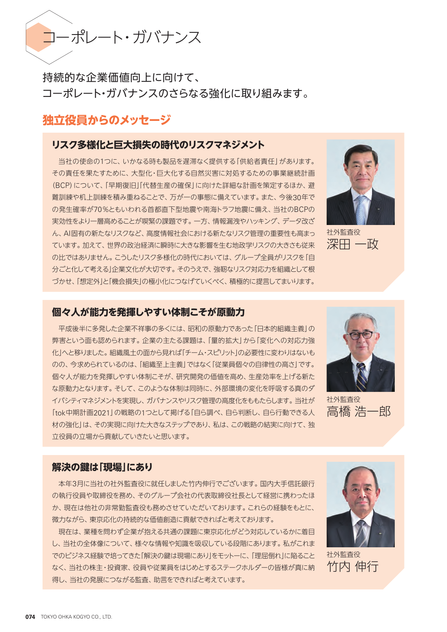コーポレート・ガバナンス

持続的な企業価値向上に向けて、 コーポレート・ガバナンスのさらなる強化に取り組みます。

# **独立役員からのメッセージ**

# **リスク多様化と巨大損失の時代のリスクマネジメント**

当社の使命の1つに、いかなる時も製品を遅滞なく提供する「供給者責任」があります。 その責任を果たすために、大型化・巨大化する自然災害に対処するための事業継続計画 (BCP)について、「早期復旧」「代替生産の確保」に向けた詳細な計画を策定するほか、避 難訓練や机上訓練を積み重ねることで、万が一の事態に備えています。また、今後30年で の発生確率が70%ともいわれる首都直下型地震や南海トラフ地震に備え、当社のBCPの 実効性をより一層高めることが喫緊の課題です。一方、情報漏洩やハッキング、データ改ざ ん、AI固有の新たなリスクなど、高度情報社会における新たなリスク管理の重要性も高まっ ています。加えて、世界の政治経済に瞬時に大きな影響を生む地政学リスクの大きさも従来 の比ではありません。こうしたリスク多様化の時代においては、グループ全員がリスクを「自 分ごと化して考える」企業文化が大切です。そのうえで、強靭なリスク対応力を組織として根 づかせ、「想定外」と「機会損失」の極小化につなげていくべく、積極的に提言してまいります。



社外監査役 深田 一政

# **個々人が能力を発揮しやすい体制こそが原動力**

平成後半に多発した企業不祥事の多くには、昭和の原動力であった「日本的組織主義」の 弊害という面も認められます。企業の主たる課題は、「量的拡大」から「変化への対応力強 化」へと移りました。組織風土の面から見れば「チーム・スピリット」の必要性に変わりはないも のの、今求められているのは、「組織至上主義」ではなく「従業員個々の自律性の高さ」です。 個々人が能力を発揮しやすい体制こそが、研究開発の価値を高め、生産効率を上げる新た な原動力となります。そして、このような体制は同時に、外部環境の変化を呼吸する真のダ イバシティマネジメントを実現し、ガバナンスやリスク管理の高度化をももたらします。当社が 「tok中期計画2021」の戦略の1つとして掲げる「自ら調べ、自ら判断し、自ら行動できる人 材の強化」は、その実現に向けた大きなステップであり、私は、この戦略の結実に向けて、独 立役員の立場から貢献していきたいと思います。



社外監査役 高橋 浩一郎

#### **解決の伴は「現場」にあり**

本年3月に当社の社外監査役に就任しました竹内伸行でございます。国内大手信託銀行 の執行役員や取締役を務め、そのグループ会社の代表取締役社長として経営に携わったほ か、現在は他社の非常勤監査役も務めさせていただいております。これらの経験をもとに、 微力ながら、東京応化の持続的な価値創造に貢献できればと考えております。

現在は、業種を問わず企業が抱える共通の課題に東京応化がどう対応しているかに着目 し、当社の全体像について、様々な情報や知識を吸収している段階にあります。私がこれま でのビジネス経験で培ってきた「解決の鍵は現場にあり」をモットーに、「理屈倒れ」に陥ること なく、当社の株主・投資家、役員や従業員をはじめとするステークホルダーの皆様が真に納 得し、当社の発展につながる監査、助言をできればと考えています。



社外監査役 竹内 伸行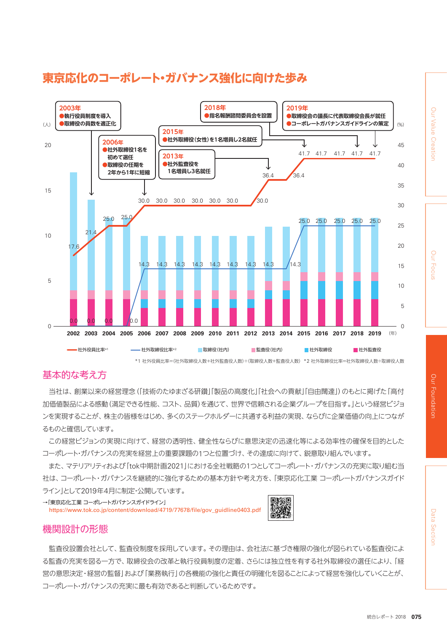

# **東京応化のコーポレート・ガバナンス強化に向けた歩み**

# 基本的な考え方

当社は、創業以来の経営理念(「技術のたゆまざる研鑽」「製品の高度化」「社会への貢献」「自由闊達」)のもとに掲げた「高付 加価値製品による感動(満足できる性能、コスト、品質)を通じて、世界で信頼される企業グループを目指す。」という経営ビジョ ンを実現することが、株主の皆様をはじめ、多くのステークホルダーに共通する利益の実現、ならびに企業価値の向上につなが るものと確信しています。

この経営ビジョンの実現に向けて、経営の透明性、健全性ならびに意思決定の迅速化等による効率性の確保を目的とした コーポレート・ガバナンスの充実を経営上の重要課題の1つと位置づけ、その達成に向けて、鋭意取り組んでいます。

また、マテリアリティおよび「tok中期計画2021」における全社戦略の1つとしてコーポレート・ガバナンスの充実に取り組む当 社は、コーポレート・ガバナンスを継続的に強化するための基本方針や考え方を、「東京応化工業 コーポレートガバナンスガイド ライン」として2019年4月に制定・公開しています。

→「東京応化工業 コーポレートガバナンスガイドライン」

https://www.tok.co.jp/content/download/4719/77678/file/gov\_guidline0403.pdf



# 機関設計の形態

監査役設置会社として、監査役制度を採用しています。その理由は、会社法に基づき権限の強化が図られている監査役によ る監査の充実を図る一方で、取締役会の改革と執行役員制度の定着、さらには独立性を有する社外取締役の選任により、「経 営の意思決定・経営の監督」および「業務執行」の各機能の強化と責任の明確化を図ることによって経営を強化していくことが、 コーポレート・ガバナンスの充実に最も有効であると判断しているためです。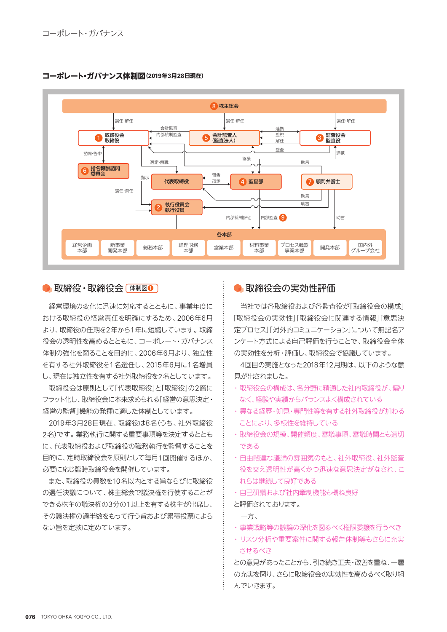**コーポレート・ガバナンス体制図(2019年3月28日現在)**



#### ● 取締役·取締役会 [体制図 **0**

経営環境の変化に迅速に対応するとともに、事業年度に おける取締役の経営責任を明確にするため、2006年6月 より、取締役の任期を2年から1年に短縮しています。取締 役会の透明性を高めるとともに、コーポレート・ガバナンス 体制の強化を図ることを目的に、2006年6月より、独立性 を有する社外取締役を1名選任し、2015年6月に1名増員 し、現在は独立性を有する社外取締役を2名としています。

取締役会は原則として「代表取締役」と「取締役」の2層に フラット化し、取締役会に本来求められる「経営の意思決定・ 経営の監督」機能の発揮に適した体制としています。

2019年3月28日現在、取締役は8名(うち、社外取締役 2名)です。業務執行に関する重要事項等を決定するととも に、代表取締役および取締役の職務執行を監督することを 目的に、定時取締役会を原則として毎月1回開催するほか、 必要に応じ臨時取締役会を開催しています。

また、取締役の員数を10名以内とする旨ならびに取締役 の選任決議について、株主総会で議決権を行使することが できる株主の議決権の3分の1以上を有する株主が出席し、 その議決権の過半数をもって行う旨および累積投票によら ない旨を定款に定めています。

#### ● 取締役会の実効性評価

当社では各取締役および各監査役が「取締役会の構成」 「取締役会の実効性」「取締役会に関連する情報」「意思決 定プロセス」「対外的コミュニケーション」について無記名ア ンケート方式による自己評価を行うことで、取締役会全体 の実効性を分析・評価し、取締役会で協議しています。

4回目の実施となった2018年12月期は、以下のような意 見が出されました。

- ・ 取締役会の構成は、各分野に精通した社内取締役が、偏り なく、経験や実績からバランスよく構成されている
- ・異なる経歴・知見・専門性等を有する社外取締役が加わる ことにより、多様性を維持している
- ・取締役会の規模、開催頻度、審議事項、審議時間とも適切 である
- ・ 自由闊達な議論の雰囲気のもと、社外取締役、社外監査 役を交え透明性が高くかつ迅速な意思決定がなされ、こ れらは継続して良好である
- ・自己研鑽および社内牽制機能も概ね良好

#### と評価されております。

- 一方、
- ・事業戦略等の議論の深化を図るべく権限委譲を行うべき
- ・リスク分析や重要案件に関する報告体制等もさらに充実 させるべき

との意見があったことから、引き続き工夫・改善を重ね、一層 の充実を図り、さらに取締役会の実効性を高めるべく取り組 んでいきます。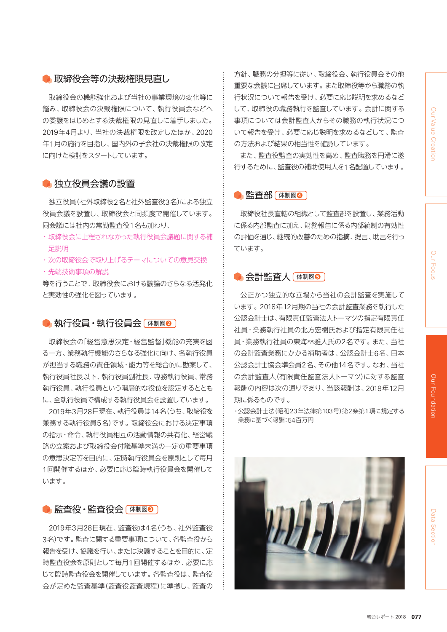# **Dur** Our Focus Focus

# ● 取締役会等の決裁権限見直し

取締役会の機能強化および当社の事業環境の変化等に 鑑み、取締役会の決裁権限について、執行役員会などへ の委譲をはじめとする決裁権限の見直しに着手しました。 2019年4月より、当社の決裁権限を改定したほか、2020 年1月の施行を目指し、国内外の子会社の決裁権限の改定 に向けた検討をスタートしています。

# ● 独立役員会議の設置

独立役員(社外取締役2名と社外監査役3名)による独立 役員会議を設置し、取締役会と同頻度で開催しています。 同会議には社内の常勤監査役1名も加わり、

- ・取締役会に上程されなかった執行役員会議題に関する補 足説明
- ・次の取締役会で取り上げるテーマについての意見交換
- ・先端技術事項の解説

等を行うことで、取締役会における議論のさらなる活発化 と実効性の強化を図っています。

## **● 執行役員→執行役員会 体制図2**

取締役会の「経営意思決定・経営監督」機能の充実を図 る一方、業務執行機能のさらなる強化に向け、各執行役員 が担当する職務の責任領域・能力等を総合的に勘案して、 執行役員社長以下、執行役員副社長、専務執行役員、常務 執行役員、執行役員という階層的な役位を設定するととも に、全執行役員で構成する執行役員会を設置しています。

2019年3月28日現在、執行役員は14名(うち、取締役を 兼務する執行役員5名)です。取締役会における決定事項 の指示・命令、執行役員相互の活動情報の共有化、経営戦 略の立案および取締役会付議基準未満の一定の重要事項 の意思決定等を目的に、定時執行役員会を原則として毎月 1回開催するほか、必要に応じ臨時執行役員会を開催して います。

#### **● 監査役・監査役会 体制図◎**

2019年3月28日現在、監査役は4名(うち、社外監査役 3名)です。監査に関する重要事項について、各監査役から 報告を受け、協議を行い、または決議することを目的に、定 時監査役会を原則として毎月1回開催するほか、必要に応 じて臨時監査役会を開催しています。各監査役は、監査役 会が定めた監査基準(監査役監査規程)に準拠し、監査の

方針、職務の分担等に従い、取締役会、執行役員会その他 重要な会議に出席しています。また取締役等から職務の執 行状況について報告を受け、必要に応じ説明を求めるなど して、取締役の職務執行を監査しています。会計に関する 事項については会計監査人からその職務の執行状況につ いて報告を受け、必要に応じ説明を求めるなどして、監査 の方法および結果の相当性を確認しています。

また、監査役監査の実効性を高め、監査職務を円滑に遂 行するために、監査役の補助使用人を1名配置しています。

#### **6 監査部 体制図3**

取締役社長直轄の組織として監査部を設置し、業務活動 に係る内部監査に加え、財務報告に係る内部統制の有効性 の評価を通じ、継続的改善のための指摘、提言、助言を行っ ています。

#### **● 会計監査人 (体制図6)**

公正かつ独立的な立場から当社の会計監査を実施して います。2018年12月期の当社の会計監査業務を執行した 公認会計士は、有限責任監査法人トーマツの指定有限責任 社員・業務執行社員の北方宏樹氏および指定有限責任社 員・業務執行社員の東海林雅人氏の2名です。また、当社 の会計監査業務にかかる補助者は、公認会計士6名、日本 公認会計士協会準会員2名、その他14名です。なお、当社 の会計監査人(有限責任監査法人トーマツ)に対する監査 報酬の内容は次の通りであり、当該報酬は、2018年12月 期に係るものです。

・公認会計士法(昭和23年法律第103号)第2条第1項に規定する 業務に基づく報酬:54百万円

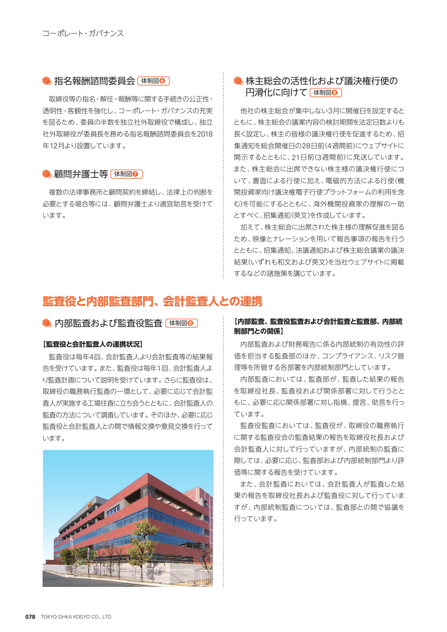#### **● 指名報酬諮問委員会 [体制図6]**

取締役等の指名・解任・報酬等に関する手続きの公正性・ 透明性・客観性を強化し、コーポレート・ガバナンスの充実 を図るため、委員の半数を独立社外取締役で構成し、独立 社外取締役が委員長を務める指名報酬諮問委員会を2018 年12月より設置しています。

#### ● 顧問弁護士等 体制図**◎**

複数の法律事務所と顧問契約を締結し、法律上の判断を 必要とする場合等には、顧問弁護士より適宜助言を受けて います。

# ● 株主総会の活性化および議決権行使の 円滑化に向けて 体制図**<sup>❽</sup>**

他社の株主総会が集中しない3月に開催日を設定すると ともに、株主総会の議案内容の検討期間を法定日数よりも 長く設定し、株主の皆様の議決権行使を促進するため、招 集通知を総会開催日の28日前(4週間前)にウェブサイトに 開示するとともに、21日前(3週間前)に発送しています。 また、株主総会に出席できない株主様の議決権行使につ いて、書面による行使に加え、電磁的方法による行使(機 関投資家向け議決権電子行使プラットフォームの利用を含 む)を可能にするとともに、海外機関投資家の理解の一助 とすべく、招集通知(英文)を作成しています。

加えて、株主総会に出席された株主様の理解促進を図る ため、映像とナレーションを用いて報告事項の報告を行う とともに、招集通知、決議通知および株主総会議案の議決 結果(いずれも和文および英文)を当社ウェブサイトに掲載 するなどの諸施策を講じています。

# **監査役と内部監査部門、会計監査人との連携**

**● 内部監査および監査役監査 (体制図◎)** 

#### **【監査役と会計監査人の連携状況】**

監査役は毎年4回、会計監査人より会計監査等の結果報 告を受けています。また、監査役は毎年1回、会計監査人よ り監査計画について説明を受けています。さらに監査役は、 取締役の職務執行監査の一環として、必要に応じて会計監 査人が実施する工場往査に立ち会うとともに、会計監査人の 監査の方法について調査しています。そのほか、必要に応じ 監査役と会計監査人との間で情報交換や意見交換を行って います。



#### **【内部監査、監査役監査および会計監査と監査部、内部統 制部門との関係】**

内部監査および財務報告に係る内部統制の有効性の評 価を担当する監査部のほか、コンプライアンス、リスク管 理等を所管する各部署を内部統制部門としています。

内部監査においては、監査部が、監査した結果の報告 を取締役社長、監査役および関係部署に対して行うとと もに、必要に応じ関係部署に対し指摘、提言、助言を行っ ています。

監査役監査においては、監査役が、取締役の職務執行 に関する監査役会の監査結果の報告を取締役社長および 会計監査人に対して行っていますが、内部統制の監査に 際しては、必要に応じ、監査部および内部統制部門より評 価等に関する報告を受けています。

また、会計監査においては、会計監査人が監査した結 果の報告を取締役社長および監査役に対して行っていま すが、内部統制監査については、監査部との間で協議を 行っています。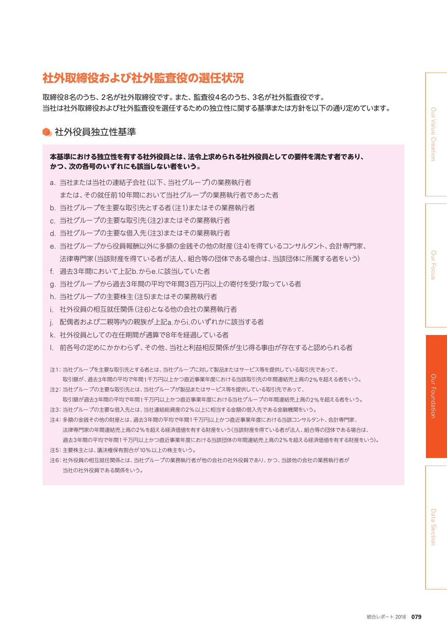Data Section

# **社外取締役および社外監査役の選任状況**

取締役8名のうち、2名が社外取締役です。また、監査役4名のうち、3名が社外監査役です。 当社は社外取締役および社外監査役を選任するための独立性に関する基準または方針を以下の通り定めています。

# • 社外役員独立性基準

#### **本基準における独立性を有する社外役員とは、法令上求められる社外役員としての要件を満たす者であり、 かつ、次の各号のいずれにも該当しない者をいう。**

- a. 当社または当社の連結子会社(以下、当社グループ)の業務執行者 または、その就任前10年間において当社グループの業務執行者であった者
- b. 当社グループを主要な取引先とする者(注1)またはその業務執行者
- c. 当社グループの主要な取引先(注2)またはその業務執行者
- d. 当社グループの主要な借入先(注3)またはその業務執行者
- e. 当社グループから役員報酬以外に多額の金銭その他の財産(注4)を得ているコンサルタント、会計専門家、 法律専門家(当該財産を得ている者が法人、組合等の団体である場合は、当該団体に所属する者をいう)
- f. 過去3年間において上記b.からe.に該当していた者
- g. 当社グループから過去3年間の平均で年間3百万円以上の寄付を受け取っている者
- h. 当社グループの主要株主(注5)またはその業務執行者
- i. 社外役員の相互就任関係(注6)となる他の会社の業務執行者
- j. 配偶者および二親等内の親族が上記a.からi.のいずれかに該当する者
- k. 社外役員としての在任期間が通算で8年を経過している者
- l. 前各号の定めにかかわらず、その他、当社と利益相反関係が生じ得る事由が存在すると認められる者
- 注1:当社グループを主要な取引先とする者とは、当社グループに対して製品またはサービス等を提供している取引先であって、 取引額が、過去3年間の平均で年間1千万円以上かつ直近事業年度における当該取引先の年間連結売上高の2%を超える者をいう。
- 注2:当社グループの主要な取引先とは、当社グループが製品またはサービス等を提供している取引先であって、 取引額が過去3年間の平均で年間1千万円以上かつ直近事業年度における当社グループの年間連結売上高の2%を超える者をいう。
- 注3:当社グループの主要な借入先とは、当社連結総資産の2%以上に相当する金額の借入先である金融機関をいう。
- 注4:多額の金銭その他の財産とは、過去3年間の平均で年間1千万円以上かつ直近事業年度における当該コンサルタント、会計専門家、 法律専門家の年間連結売上高の2%を超える経済価値を有する財産をいう(当該財産を得ている者が法人、組合等の団体である場合は、 過去3年間の平均で年間1千万円以上かつ直近事業年度における当該団体の年間連結売上高の2%を超える経済価値を有する財産をいう)。
- 注5:主要株主とは、議決権保有割合が10%以上の株主をいう。
- 注6:社外役員の相互就任関係とは、当社グループの業務執行者が他の会社の社外役員であり、かつ、当該他の会社の業務執行者が 当社の社外役員である関係をいう。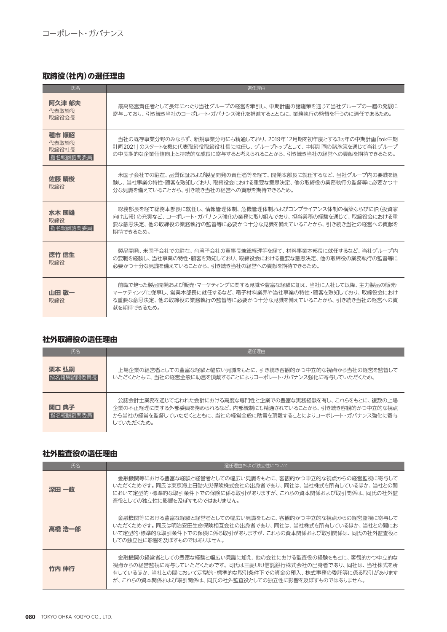# **取締役(社内)の選任理由**

| 氏名                                  | 選任理中                                                                                                                                                                                             |
|-------------------------------------|--------------------------------------------------------------------------------------------------------------------------------------------------------------------------------------------------|
| 阿久津 郁夫<br>代表取締役<br>取締役会長            | 最高経営責任者として長年にわたり当社グループの経営を牽引し、中期計画の諸施策を通じて当社グループの一層の発展に<br>寄与しており、引き続き当社のコーポレート・ガバナンス強化を推進するとともに、業務執行の監督を行うのに適任であるため。                                                                            |
| 種市 順昭<br>代表取締役<br>取締役社長<br>指名報酬諮問委員 | 当社の既存事業分野のみならず、新規事業分野にも精通しており、2019年12月期を初年度とする3ヵ年の中期計画 [tok中期<br>計画20211のスタートを機に代表取締役取締役社長に就任し、グループトップとして、中期計画の諸施策を通じて当社グループ<br>の中長期的な企業価値向上と持続的な成長に寄与すると考えられることから、引き続き当社の経営への貢献を期待できるため。        |
| 佐藤 晴俊<br>取締役                        | 米国子会社での駐在、品質保証および製品開発の青任者等を経て、開発本部長に就任するなど、当社グループ内の要職を経<br>験し、当社事業の特性・顧客を熟知しており、取締役会における重要な意思決定、他の取締役の業務執行の監督等に必要かつ十<br>分な見識を備えていることから、引き続き当社の経営への貢献を期待できるため。                                    |
| 水木 國雄<br>取締役<br>指名報酬諮問委員            | 総務部長を経て総務本部長に就任し、情報管理体制、危機管理体制およびコンプライアンス体制の構築ならびにIR(投資家<br> 向け広報)の充実など、コーポレート・ガバナンス強化の業務に取り組んでおり、担当業務の経験を通じて、取締役会における重<br>要な意思決定、他の取締役の業務執行の監督等に必要かつ十分な見識を備えていることから、引き続き当社の経営への貢献を<br>期待できるため。  |
| 徳竹 信生<br>取締役                        | 製品開発、米国子会社での駐在、台湾子会社の董事長兼総経理等を経て、材料事業本部長に就任するなど、当社グループ内<br>の要職を経験し、当社事業の特性・顧客を熟知しており、取締役会における重要な意思決定、他の取締役の業務執行の監督等に<br>必要かつ十分な見識を備えていることから、引き続き当社の経営への貢献を期待できるため。                               |
| 山田 敬一<br>取締役                        | 前職で培った製品開発および販売・マーケティングに関する見識や豊富な経験に加え、当社に入社して以降、主力製品の販売・<br>マーケティングに従事し、営業本部長に就任するなど、電子材料業界や当社事業の特性・顧客を熟知しており、取締役会におけ<br>る重要な意思決定、他の取締役の業務執行の監督等に必要かつ十分な見識を備えていることから、引き続き当社の経営への貢<br>献を期待できるため。 |

#### **社外取締役の選任理由**

| 氏名                 | 選仟理中                                                                                                                                                                                             |
|--------------------|--------------------------------------------------------------------------------------------------------------------------------------------------------------------------------------------------|
| 栗本 弘嗣<br>指名報酬諮問委員長 | 上場企業の経営者としての豊富な経験と幅広い見識をもとに、引き続き客観的かつ中立的な視点から当社の経営を監督して<br>いただくとともに、当社の経営全般に助言を頂戴することによりコーポレート・ガバナンス強化に寄与していただくため。                                                                               |
| 関口 典子<br>指名報酬諮問委員  | 公認会計士業務を通じて培われた会計における高度な専門性と企業での豊富な実務経験を有し、これらをもとに、複数の上場<br>企業の不正経理に関する外部委員を務められるなど、内部統制にも精通されていることから、引き続き客観的かつ中立的な視点<br>から当社の経営を監督していただくとともに、当社の経営全般に助言を頂戴することによりコーポレート・ガバナンス強化に寄与<br>していただくため。 |

#### **社外監査役の選任理由**

| 氏名     | 選任理由および独立性について                                                                                                                                                                                                                           |  |  |
|--------|------------------------------------------------------------------------------------------------------------------------------------------------------------------------------------------------------------------------------------------|--|--|
| 深田 一政  | 金融機関等における豊富な経験と経営者としての幅広い見識をもとに、客観的かつ中立的な視点からの経営監視に寄与して<br>いただくためです。同氏は東京海上日動火災保険株式会社の出身者であり、同社は、当社株式を所有しているほか、当社との間<br>において定型的・標準的な取引条件下での保険に係る取引がありますが、これらの資本関係および取引関係は、同氏の社外監<br>査役としての独立性に影響を及ぼすものではありません。                           |  |  |
| 高橋 浩一郎 | 金融機関等における豊富な経験と経営者としての幅広い見識をもとに、客観的かつ中立的な視点からの経営監視に寄与して<br>いただくためです。同氏は明治安田生命保険相互会社の出身者であり、同社は、当社株式を所有しているほか、当社との間にお<br>いて定型的・標準的な取引条件下での保険に係る取引がありますが、これらの資本関係および取引関係は、同氏の社外監査役と<br>しての独立性に影響を及ぼすものではありません。                             |  |  |
| 竹内 伸行  | 金融機関の経営者としての豊富な経験と幅広い見識に加え、他の会社における監査役の経験をもとに、客観的かつ中立的な<br>·視点からの経営監視に寄与していただくためです。同氏は三菱UFJ信託銀行株式会社の出身者であり、同社は、当社株式を所<br>有しているほか、当社との間において定型的・標準的な取引条件下での資金の預入、株式事務の委託等に係る取引があります<br>が、これらの資本関係および取引関係は、同氏の社外監査役としての独立性に影響を及ぼすものではありません。 |  |  |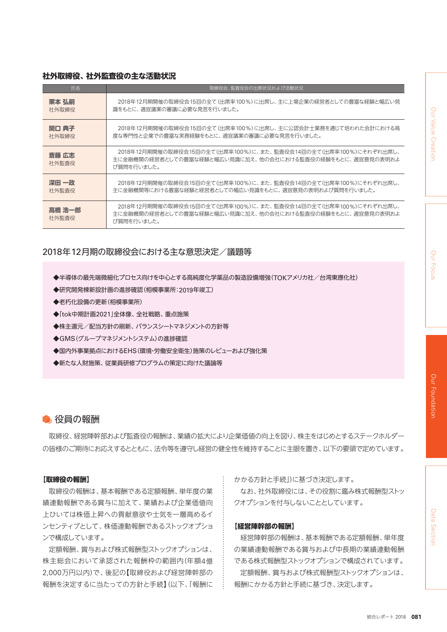# Data Section

#### **社外取締役、社外監査役の主な活動状況**

| 氏名              | 取締役会、監査役会の出席状況および活動状況                                                                                                                       |
|-----------------|---------------------------------------------------------------------------------------------------------------------------------------------|
| 栗本 弘嗣           | 2018年12月期開催の取締役会15回の全て(出席率100%)に出席し、主に上場企業の経営者としての豊富な経験と幅広い見                                                                                |
| 社外取締役           | 識をもとに、適宜議案の審議に必要な発言を行いました。                                                                                                                  |
| 関口 典子           | 2018年12月期開催の取締役会15回の全て(出席率100%)に出席し、主に公認会計士業務を通じて培われた会計における高                                                                                |
| 社外取締役           | 度な専門性と企業での豊富な実務経験をもとに、適宜議案の審議に必要な発言を行いました。                                                                                                  |
| 斎藤 広志<br>社外監査役  | 2018年12月期開催の取締役会15回の全て(出席率100%)に、また、監査役会14回の全て(出席率100%)にそれぞれ出席し、<br>主に金融機関の経営者としての豊富な経験と幅広い見識に加え、他の会社における監査役の経験をもとに、適宜意見の表明およ<br>び質問を行いました。 |
| 深田 一政           | 2018年12月期開催の取締役会15回の全て(出席率100%)に、また、監査役会14回の全て(出席率100%)にそれぞれ出席し、                                                                            |
| 社外監査役           | 主に金融機関等における豊富な経験と経営者としての幅広い見識をもとに、適宜意見の表明および質問を行いました。                                                                                       |
| 高橋 浩一郎<br>社外監査役 | 2018年12月期開催の取締役会15回の全て(出席率100%)に、また、監査役会14回の全て(出席率100%)にそれぞれ出席し、<br>主に金融機関の経営者としての豊富な経験と幅広い見識に加え、他の会社における監査役の経験をもとに、適宜意見の表明およ<br>び質問を行いました。 |

## 2018年12月期の取締役会における主な意思決定/議題等

- ◆半導体の最先端微細化プロセス向けを中心とする高純度化学薬品の製造設備増強(TOKアメリカ社/台湾東應化社)
- ◆研究開発棟新設計画の進捗確認(相模事業所:2019年竣工)
- ◆老朽化設備の更新(相模事業所)
- ◆「tok中期計画2021」全体像、全社戦略、重点施策
- ◆株主還元/配当方針の刷新、バランスシートマネジメントの方針等
- ◆GMS(グループマネジメントシステム)の進捗確認
- ◆国内外事業拠点におけるEHS(環境・労働安全衛生)施策のレビューおよび強化策
- ◆新たな人財施策、従業員研修プログラムの策定に向けた議論等

#### ● 役員の報酬

取締役、経営陣幹部および監査役の報酬は、業績の拡大により企業価値の向上を図り、株主をはじめとするステークホルダー の皆様のご期待にお応えするとともに、法令等を遵守し経営の健全性を維持することに主眼を置き、以下の要領で定めています。

#### **【取締役の報酬】**

取締役の報酬は、基本報酬である定額報酬、単年度の業 績連動報酬である賞与に加えて、業績および企業価値向 上ひいては株価上昇への貢献意欲や士気を一層高めるイ ンセンティブとして、株価連動報酬であるストックオプショ ンで構成しています。

定額報酬、賞与および株式報酬型ストックオプションは、 株主総会において承認された報酬枠の範囲内(年額4億 2,000万円以内)で、後記の【取締役および経営陣幹部の 報酬を決定するに当たっての方針と手続】(以下、「報酬に

かかる方針と手続」)に基づき決定します。

なお、社外取締役には、その役割に鑑み株式報酬型ストッ クオプションを付与しないこととしています。

#### **【経営陣幹部の報酬】**

経営陣幹部の報酬は、基本報酬である定額報酬、単年度 の業績連動報酬である賞与および中長期の業績連動報酬 である株式報酬型ストックオプションで構成されています。

定額報酬、賞与および株式報酬型ストックオプションは、 報酬にかかる方針と手続に基づき、決定します。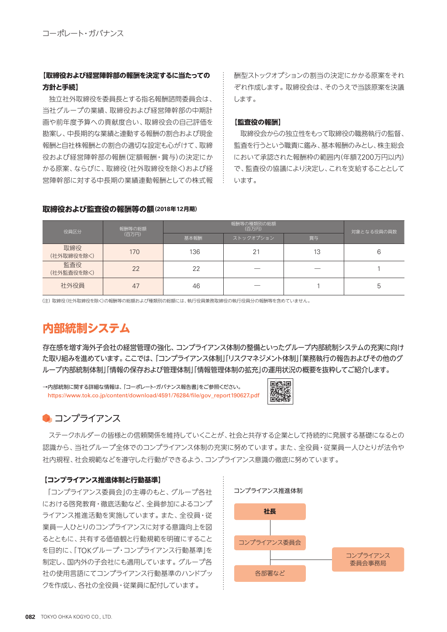#### **【取締役および経営陣幹部の報酬を決定するに当たっての 方針と手続】**

独立社外取締役を委員長とする指名報酬諮問委員会は、 当社グループの業績、取締役および経営陣幹部の中期計 画や前年度予算への貢献度合い、取締役会の自己評価を 勘案し、中長期的な業績と連動する報酬の割合および現金 報酬と自社株報酬との割合の適切な設定も心がけて、取締 役および経営陣幹部の報酬(定額報酬・賞与)の決定にか かる原案、ならびに、取締役(社外取締役を除く)および経 営陣幹部に対する中長期の業績連動報酬としての株式報 酬型ストックオプションの割当の決定にかかる原案をそれ ぞれ作成します。取締役会は、そのうえで当該原案を決議 します。

#### **【監査役の報酬】**

取締役会からの独立性をもって取締役の職務執行の監督、 監査を行うという職責に鑑み、基本報酬のみとし、株主総会 において承認された報酬枠の範囲内(年額7,200万円以内) で、監査役の協議により決定し、これを支給することとして います。

| 役員区分              | 報酬等の総額<br>(百万円) | 報酬等の種類別の総額<br>(百万円) |           |    | 対象となる役員の員数 |
|-------------------|-----------------|---------------------|-----------|----|------------|
|                   |                 | 基本報酬                | ストックオプション | 賞与 |            |
| 取締役<br>(社外取締役を除く) | 170             | 136                 | 21        | 13 | 6          |
| 監査役<br>(社外監査役を除く) | 22              | 22                  |           |    |            |
| 社外役員              | 47              | 46                  |           |    | b          |

#### **取締役および監査役の報酬等の額(2018年12月期)**

(注)取締役(社外取締役を除く)の報酬等の総額および種類別の総額には、執行役員兼務取締役の執行役員分の報酬等を含めていません。

# **内部統制システム**

存在感を増す海外子会社の経営管理の強化、コンプライアンス体制の整備といったグループ内部統制システムの充実に向け た取り組みを進めています。ここでは、「コンプライアンス体制」「リスクマネジメント体制」「業務執行の報告およびその他のグ ループ内部統制体制」「情報の保存および管理体制」「情報管理体制の拡充」の運用状況の概要を抜粋してご紹介します。

→内部統制に関する詳細な情報は、「コーポレート・ガバナンス報告書」をご参照ください。 https://www.tok.co.jp/content/download/4591/76284/file/gov\_report190627.pdf



# ● コンプライアンス

ステークホルダーの皆様との信頼関係を維持していくことが、社会と共存する企業として持続的に発展する基礎になるとの 認識から、当社グループ全体でのコンプライアンス体制の充実に努めています。また、全役員・従業員一人ひとりが法令や 社内規程、社会規範などを遵守した行動ができるよう、コンプライアンス意識の徹底に努めています。

#### **【コンプライアンス推進体制と行動基準】**

「コンプライアンス委員会」の主導のもと、グループ各社 における啓発教育・徹底活動など、全員参加によるコンプ ライアンス推進活動を実施しています。また、全役員・従 業員一人ひとりのコンプライアンスに対する意識向上を図 るとともに、共有する価値観と行動規範を明確にすること を目的に、「TOKグループ・コンプライアンス行動基準」を 制定し、国内外の子会社にも適用しています。グループ各 社の使用言語にてコンプライアンス行動基準のハンドブッ クを作成し、各社の全役員・従業員に配付しています。

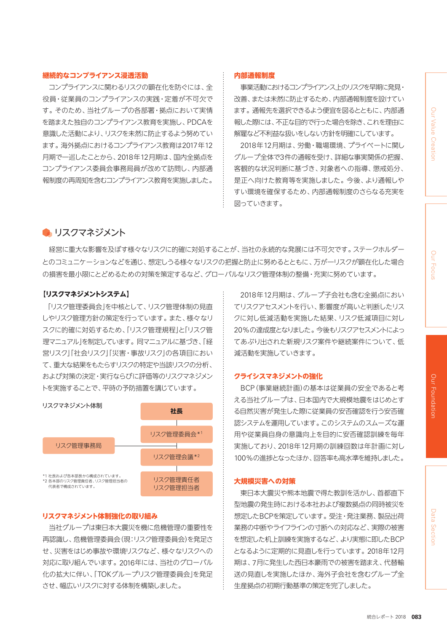# Our Value Creation Data Section Our Footal Clurt Joods of Clurt Joods of Clurt John Section Our Foundation Our Value Creation Our

# Data Section

#### **継続的なコンプライアンス浸透活動**

コンプライアンスに関わるリスクの顕在化を防ぐには、全 役員・従業員のコンプライアンスの実践・定着が不可欠で す。そのため、当社グループの各部署・拠点において実情 を踏まえた独自のコンプライアンス教育を実施し、PDCAを 意識した活動により、リスクを未然に防止するよう努めてい ます。海外拠点におけるコンプライアンス教育は2017年12 月期で一巡したことから、2018年12月期は、国内全拠点を コンプライアンス委員会事務局員が改めて訪問し、内部通 報制度の再周知を含むコンプライアンス教育を実施しました。

#### **内部通報制度**

事業活動におけるコンプライアンス上のリスクを早期に発見・ 改善、または未然に防止するため、内部通報制度を設けてい ます。通報先を選択できるよう便宜を図るとともに、内部通 報した際には、不正な目的で行った場合を除き、これを理由に 解雇など不利益な扱いをしない方針を明確にしています。

2018年12月期は、労働・職場環境、プライベートに関し グループ全体で3件の通報を受け、詳細な事実関係の把握、 客観的な状況判断に基づき、対象者への指導、懲戒処分、 是正へ向けた教育等を実施しました。今後、より通報しや すい環境を確保するため、内部通報制度のさらなる充実を 図っていきます。

#### ● リスクマネジメント

経営に重大な影響を及ぼす様々なリスクに的確に対処することが、当社の永続的な発展には不可欠です。ステークホルダー とのコミュニケーションなどを通じ、想定しうる様々なリスクの把握と防止に努めるとともに、万が一リスクが顕在化した場合 の損害を最小限にとどめるための対策を策定するなど、グローバルなリスク管理体制の整備・充実に努めています。

#### **【リスクマネジメントシステム】**

「リスク管理委員会」を中核として、リスク管理体制の見直 しやリスク管理方針の策定を行っています。また、様々なリ スクに的確に対処するため、「リスク管理規程」と「リスク管 理マニュアル」を制定しています。同マニュアルに基づき、「経 営リスク」「社会リスク」「災害・事故リスク」の各項目におい て、重大な結果をもたらすリスクの特定や当該リスクの分析、 および対策の決定・実行ならびに評価等のリスクマネジメン トを実施することで、平時の予防措置を講じています。



#### **リスクマネジメント体制強化の取り組み**

当社グループは東日本大震災を機に危機管理の重要性を 再認識し、危機管理委員会(現:リスク管理委員会)を発足さ せ、災害をはじめ事故や環境リスクなど、様々なリスクへの 対応に取り組んでいます。2016年には、当社のグローバル 化の拡大に伴い、「TOKグループリスク管理委員会」を発足 させ、幅広いリスクに対する体制を構築しました。

2018年12月期は、グループ子会社も含む全拠点におい てリスクアセスメントを行い、影響度が高いと判断したリス クに対し低減活動を実施した結果、リスク低減項目に対し 20%の達成度となりました。今後もリスクアセスメントによっ てあぶり出された新規リスク案件や継続案件について、低 減活動を実施していきます。

#### **クライシスマネジメントの強化**

BCP(事業継続計画)の基本は従業員の安全であると考 える当社グループは、日本国内で大規模地震をはじめとす る自然災害が発生した際に従業員の安否確認を行う安否確 認システムを運用しています。このシステムのスムーズな運 用や従業員自身の意識向上を目的に安否確認訓練を毎年 実施しており、2018年12月期の訓練回数は年計画に対し 100%の進捗となったほか、回答率も高水準を維持しました。

#### **大規模災害への対策**

東日本大震災や熊本地震で得た教訓を活かし、首都直下 型地震の発生時における本社および複数拠点の同時被災を 想定したBCPを策定しています。受注・発注業務、製品出荷 業務の中断やライフラインの寸断への対応など、実際の被害 を想定した机上訓練を実施するなど、より実態に即したBCP となるように定期的に見直しを行っています。2018年12月 期は、7月に発生した西日本豪雨での被害を踏まえ、代替輸 送の見直しを実施したほか、海外子会社を含むグループ全 生産拠点の初期行動基準の策定を完了しました。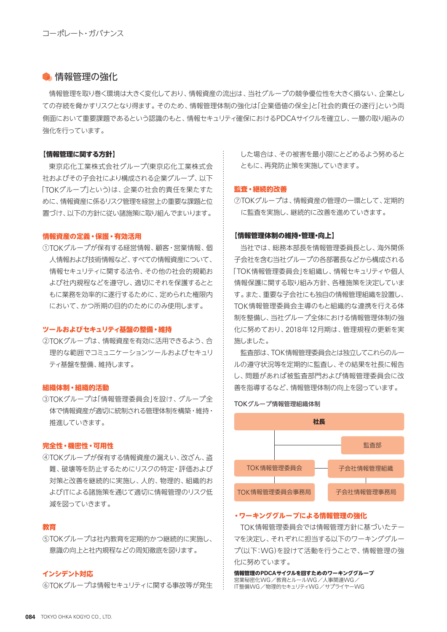#### ● 情報管理の強化

情報管理を取り巻く環境は大きく変化しており、情報資産の流出は、当社グループの競争優位性を大きく損ない、企業とし ての存続を脅かすリスクとなり得ます。そのため、情報管理体制の強化は「企業価値の保全」と「社会的責任の遂行」という両 側面において重要課題であるという認識のもと、情報セキュリティ確保におけるPDCAサイクルを確立し、一層の取り組みの 強化を行っています。

#### **【情報管理に関する方針】**

東京応化工業株式会社グループ(東京応化工業株式会 社およびその子会社により構成される企業グループ、以下 「TOKグループ」という)は、企業の社会的責任を果たすた めに、情報資産に係るリスク管理を経営上の重要な課題と位 置づけ、以下の方針に従い諸施策に取り組んでまいります。

#### **情報資産の定義・保護・有効活用**

①TOKグループが保有する経営情報、顧客・営業情報、個 人情報および技術情報など、すべての情報資産について、 情報セキュリティに関する法令、その他の社会的規範お よび社内規程などを遵守し、適切にそれを保護するとと もに業務を効率的に遂行するために、定められた権限内 において、かつ所期の目的のためにのみ使用します。

#### **ツールおよびセキュリティ基盤の整備・維持**

②TOKグループは、情報資産を有効に活用できるよう、合 理的な範囲でコミュニケーションツールおよびヤキュリ ティ基盤を整備、維持します。

#### **組織体制・組織的活動**

③TOKグループは「情報管理委員会」を設け、グループ全 体で情報資産が適切に統制される管理体制を構築・維持・ 推進していきます。

#### **完全性・機密性・可用性**

④TOKグループが保有する情報資産の漏えい、改ざん、盗 難、破壊等を防止するためにリスクの特定・評価および 対策と改善を継続的に実施し、人的、物理的、組織的お よびITによる諸施策を通じて適切に情報管理のリスク低 減を図っていきます。

#### **教育**

⑤TOKグループは社内教育を定期的かつ継続的に実施し、 意識の向上と社内規程などの周知徹底を図ります。

#### **インシデント対応**

⑥TOKグループは情報セキュリティに関する事故等が発生

した場合は、その被害を最小限にとどめるよう努めると ともに、再発防止策を実施していきます。

#### **監査・継続的改善**

⑦TOKグループは、情報資産の管理の一環として、定期的 に監査を実施し、継続的に改善を進めていきます。

#### **【情報管理体制の維持・管理・向上】**

当社では、総務本部長を情報管理委員長とし、海外関係 子会社を含む当社グループの各部署長などから構成される 「TOK情報管理委員会」を組織し、情報セキュリティや個人 情報保護に関する取り組み方針、各種施策を決定していま す。また、重要な子会社にも独自の情報管理組織を設置し、 TOK情報管理委員会主導のもと組織的な連携を行える体 制を整備し、当社グループ全体における情報管理体制の強 化に努めており、2018年12月期は、管理規程の更新を実 施しました。

監査部は、TOK情報管理委員会とは独立してこれらのルー ルの遵守状況等を定期的に監査し、その結果を社長に報告 し、問題があれば被監査部門および情報管理委員会に改 善を指導するなど、情報管理体制の向上を図っています。





#### **・ワーキンググループによる情報管理の強化**

TOK情報管理委員会では情報管理方針に基づいたテー マを決定し、それぞれに担当する以下のワーキンググルー プ(以下:WG)を設けて活動を行うことで、情報管理の強 化に努めています。

**情報管理のPDCAサイクルを回すためのワーキンググループ** 営業秘密化WG/教育とルールWG/人事関連WG/ IT整備WG/物理的セキュリティWG/サプライヤーWG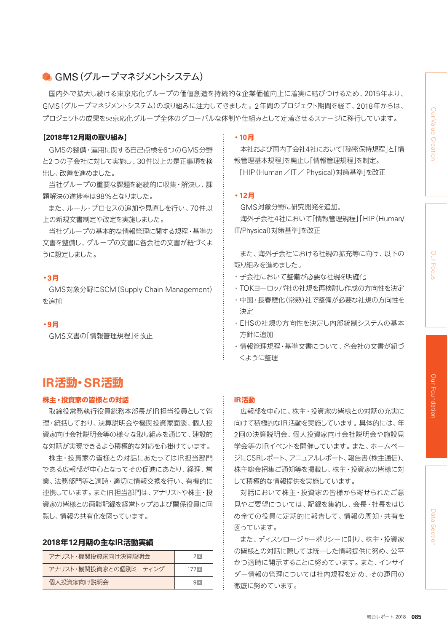# GMS(グループマネジメントシステム)

国内外で拡大し続ける東京応化グループの価値創造を持続的な企業価値向上に着実に結びつけるため、2015年より、 GMS(グループマネジメントシステム)の取り組みに注力してきました。2年間のプロジェクト期間を経て、2018年からは、 プロジェクトの成果を東京応化グループ全体のグローバルな体制や仕組みとして定着させるステージに移行しています。

#### **【2018年12月期の取り組み】**

GMSの整備・運用に関する自己点検を6つのGMS分野 と2つの子会社に対して実施し、30件以上の是正事項を検 出し、改善を進めました。

当社グループの重要な課題を継続的に収集・解決し、課 題解決の進捗率は98%となりました。

また、ルール・プロセスの追加や見直しを行い、70件以 上の新規文書制定や改定を実施しました。

当社グループの基本的な情報管理に関する規程・基準の 文書を整備し、グループの文書に各会社の文書が紐づくよ うに設定しました。

#### **・3月**

GMS対象分野にSCM(Supply Chain Management) を追加

**・9月**

GMS文書の「情報管理規程」を改正

# **IR活動・SR活動**

#### **株主・投資家の皆様との対話**

取締役常務執行役員総務本部長がIR担当役員として管 理・統括しており、決算説明会や機関投資家面談、個人投 資家向け会社説明会等の様々な取り組みを通じて、建設的 な対話が実現できるよう積極的な対応を心掛けています。

株主・投資家の皆様との対話にあたってはIR担当部門 である広報部が中心となってその促進にあたり、経理、営 業、法務部門等と適時・適切に情報交換を行い、有機的に 連携しています。またIR担当部門は、アナリストや株主・投 資家の皆様との面談記録を経営トップおよび関係役員に回 覧し、情報の共有化を図っています。

#### **2018年12月期の主なIR活動実績**

| アナリスト・機関投資家向け決算説明会    | 2回   |
|-----------------------|------|
| アナリスト・機関投資家との個別ミーティング | 177回 |
| 個人投資家向け説明会            | 9回   |

#### **・10月**

本社および国内子会社4社において「秘密保持規程」と「情 報管理基本規程」を廃止し「情報管理規程」を制定。

「HIP(Human/IT/ Physical)対策基準」を改正

#### **・12月**

GMS対象分野に研究開発を追加。

海外子会社4社において「情報管理規程」「HIP(Human/ IT/Physical)対策基準」を改正

また、海外子会社における社規の拡充等に向け、以下の 取り組みを進めました。

- ・子会社において整備が必要な社規を明確化
- ・ TOKヨーロッパ社の社規を再検討し作成の方向性を決定
- ・ 中国・長春應化(常熟)社で整備が必要な社規の方向性を 決定
- ・ EHSの社規の方向性を決定し内部統制システムの基本 方針に追加
- ・情報管理規程・基準文書について、各会社の文書が紐づ くように整理

#### **IR活動**

広報部を中心に、株主・投資家の皆様との対話の充実に 向けて積極的なIR活動を実施しています。具体的には、年 2回の決算説明会、個人投資家向け会社説明会や施設見 学会等のIRイベントを開催しています。また、ホームペー ジにCSRレポート、アニュアルレポート、報告書(株主通信)、 株主総会招集ご通知等を掲載し、株主・投資家の皆様に対 して積極的な情報提供を実施しています。

対話において株主・投資家の皆様から寄せられたご意 見やご要望については、記録を集約し、会長・社長をはじ め全ての役員に定期的に報告して、情報の周知・共有を 図っています。

また、ディスクロージャーポリシーに則り、株主・投資家 の皆様との対話に際しては統一した情報提供に努め、公平 かつ適時に開示することに努めています。また、インサイ ダー情報の管理については社内規程を定め、その運用の 徹底に努めています。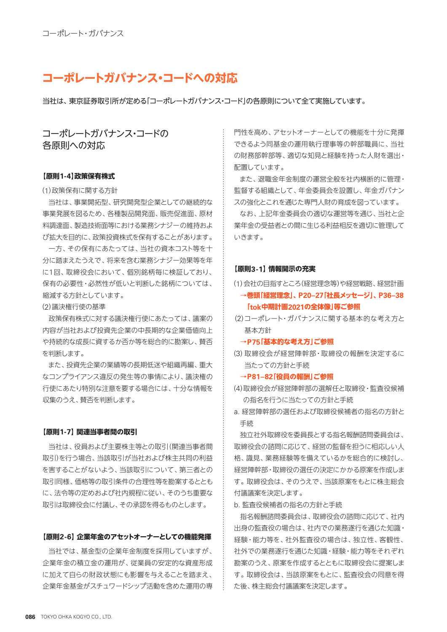# **コーポレートガバナンス・コードへの対応**

当社は、東京証券取引所が定める「コーポレートガバナンス・コード」の各原則について全て実施しています。

コーポレートガバナンス・コードの 各原則への対応

#### **【原則1-4】政策保有株式**

(1)政策保有に関する方針

当社は、事業開拓型、研究開発型企業としての継続的な 事業発展を図るため、各種製品開発面、販売促進面、原材 料調達面、製造技術面等における業務シナジーの維持およ び拡大を目的に、政策投資株式を保有することがあります。

一方、その保有にあたっては、当社の資本コスト等を十 分に踏まえたうえで、将来を含む業務シナジー効果等を年 に1回、取締役会において、個別銘柄毎に検証しており、 保有の必要性・必然性が低いと判断した銘柄については、 縮減する方針としています。

(2)議決権行使の基準

政策保有株式に対する議決権行使にあたっては、議案の 内容が当社および投資先企業の中長期的な企業価値向上 や持続的な成長に資するか否か等を総合的に勘案し、賛否 を判断します。

また、投資先企業の業績等の長期低迷や組織再編、重大 なコンプライアンス違反の発生等の事情により、議決権の 行使にあたり特別な注意を要する場合には、十分な情報を 収集のうえ、賛否を判断します。

#### **【原則1-7】関連当事者間の取引**

当社は、役員および主要株主等との取引(関連当事者間 取引)を行う場合、当該取引が当社および株主共同の利益 を害することがないよう、当該取引について、第三者との 取引同様、価格等の取引条件の合理性等を勘案するととも に、法令等の定めおよび社内規程に従い、そのうち重要な 取引は取締役会に付議し、その承認を得るものとします。

#### **【原則2-6】企業年金のアセットオーナーとしての機能発揮**

当社では、基金型の企業年金制度を採用していますが、 企業年金の積立金の運用が、従業員の安定的な資産形成 に加えて自らの財政状態にも影響を与えることを踏まえ、 企業年金基金がスチュワードシップ活動を含めた運用の専 門性を高め、アセットオーナーとしての機能を十分に発揮 できるよう同基金の運用執行理事等の幹部職員に、当社 の財務部幹部等、適切な知見と経験を持った人財を選出・ 配置しています。

また、退職金年金制度の運営全般を社内横断的に管理・ 監督する組織として、年金委員会を設置し、年金ガバナン スの強化とこれを通じた専門人財の育成を図っています。

なお、上記年金委員会の適切な運営等を通じ、当社と企 業年金の受益者との間に生じる利益相反を適切に管理して いきます。

#### **【原則3-1】情報開示の充実**

- (1)会社の目指すところ(経営理念等)や経営戦略、経営計画 **→巻頭「経営理念」、P20–27「社長メッセージ」、P36–38 「tok中期計画2021の全体像」等ご参照**
- (2)コーポレート・ガバナンスに関する基本的な考え方と 基本方針
	- **→P75「基本的な考え方」ご参照**
- (3)取締役会が経営陣幹部・取締役の報酬を決定するに 当たっての方針と手続
	- **→P81–82「役員の報酬」ご参照**
- (4)取締役会が経営陣幹部の選解任と取締役・監査役候補 の指名を行うに当たっての方針と手続
- a. 経営陣幹部の選任および取締役候補者の指名の方針と 手続

独立社外取締役を委員長とする指名報酬諮問委員会は、 取締役会の諮問に応じて、経営の監督を担うに相応しい人 格、識見、業務経験等を備えているかを総合的に検討し、 経営陣幹部・取締役の選任の決定にかかる原案を作成しま す。取締役会は、そのうえで、当該原案をもとに株主総会 付議議案を決定します。

b. 監査役候補者の指名の方針と手続

指名報酬諮問委員会は、取締役会の諮問に応じて、社内 出身の監査役の場合は、社内での業務遂行を通じた知識・ 経験・能力等を、社外監査役の場合は、独立性、客観性、 社外での業務遂行を通じた知識・経験・能力等をそれぞれ 勘案のうえ、原案を作成するとともに取締役会に提案しま す。取締役会は、当該原案をもとに、監査役会の同意を得 た後、株主総会付議議案を決定します。